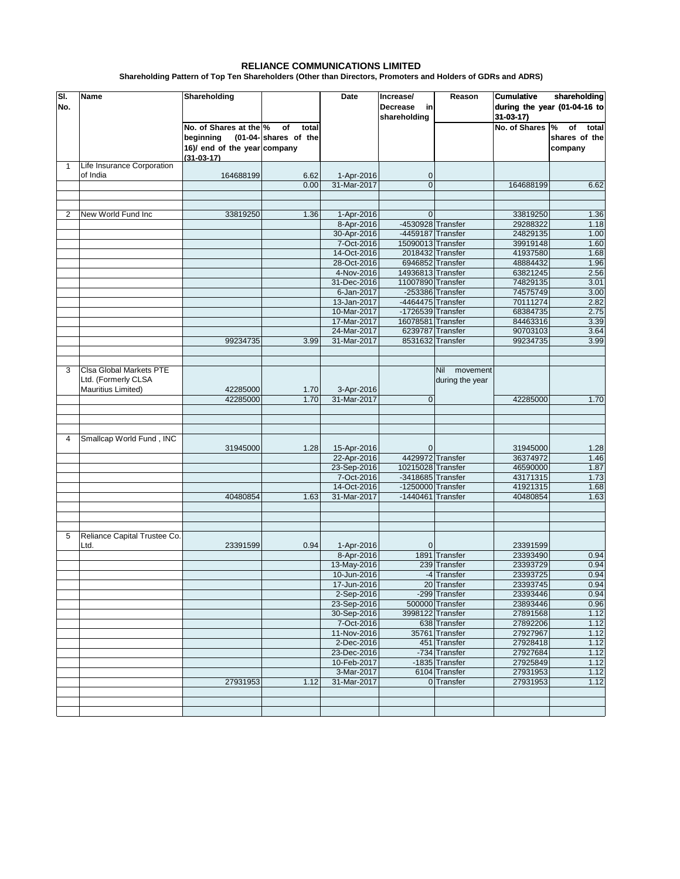## **RELIANCE COMMUNICATIONS LIMITED**

**Shareholding Pattern of Top Ten Shareholders (Other than Directors, Promoters and Holders of GDRs and ADRS)**

| SI.<br>No.   | <b>Name</b>                                                          | Shareholding                                                                        |                                     | Date                       | Increase/<br><b>Decrease</b><br>in<br>shareholding | Reason                                    | shareholding<br><b>Cumulative</b><br>during the year (01-04-16 to<br>$31-03-17$ |                                         |
|--------------|----------------------------------------------------------------------|-------------------------------------------------------------------------------------|-------------------------------------|----------------------------|----------------------------------------------------|-------------------------------------------|---------------------------------------------------------------------------------|-----------------------------------------|
|              |                                                                      | No. of Shares at the %<br>beginning<br>16)/ end of the year company<br>$(31-03-17)$ | of<br>total<br>(01-04-shares of the |                            |                                                    |                                           | No. of Shares %                                                                 | of<br>total<br>shares of the<br>company |
| $\mathbf{1}$ | Life Insurance Corporation<br>of India                               | 164688199                                                                           | 6.62                                | 1-Apr-2016                 | 0                                                  |                                           |                                                                                 |                                         |
|              |                                                                      |                                                                                     | 0.00                                | 31-Mar-2017                | $\overline{0}$                                     |                                           | 164688199                                                                       | 6.62                                    |
|              |                                                                      |                                                                                     |                                     |                            |                                                    |                                           |                                                                                 |                                         |
| 2            | New World Fund Inc                                                   | 33819250                                                                            | 1.36                                | 1-Apr-2016                 | $\mathbf{0}$                                       |                                           | 33819250                                                                        | 1.36                                    |
|              |                                                                      |                                                                                     |                                     | 8-Apr-2016                 | -4530928 Transfer                                  |                                           | 29288322                                                                        | 1.18                                    |
|              |                                                                      |                                                                                     |                                     | 30-Apr-2016                | -4459187 Transfer                                  |                                           | 24829135                                                                        | 1.00                                    |
|              |                                                                      |                                                                                     |                                     | 7-Oct-2016                 | 15090013 Transfer                                  |                                           | 39919148                                                                        | 1.60                                    |
|              |                                                                      |                                                                                     |                                     | 14-Oct-2016<br>28-Oct-2016 |                                                    | 2018432 Transfer<br>6946852 Transfer      | 41937580<br>48884432                                                            | 1.68<br>1.96                            |
|              |                                                                      |                                                                                     |                                     | 4-Nov-2016                 | 14936813 Transfer                                  |                                           | 63821245                                                                        | 2.56                                    |
|              |                                                                      |                                                                                     |                                     | 31-Dec-2016                | 11007890 Transfer                                  |                                           | 74829135                                                                        | 3.01                                    |
|              |                                                                      |                                                                                     |                                     | 6-Jan-2017                 |                                                    | -253386 Transfer                          | 74575749                                                                        | 3.00                                    |
|              |                                                                      |                                                                                     |                                     | 13-Jan-2017                | -4464475 Transfer                                  |                                           | 70111274                                                                        | 2.82                                    |
|              |                                                                      |                                                                                     |                                     | 10-Mar-2017                | -1726539 Transfer                                  |                                           | 68384735                                                                        | 2.75                                    |
|              |                                                                      |                                                                                     |                                     | 17-Mar-2017                | 16078581 Transfer                                  |                                           | 84463316                                                                        | 3.39                                    |
|              |                                                                      |                                                                                     |                                     | 24-Mar-2017                |                                                    | 6239787 Transfer                          | 90703103                                                                        | 3.64                                    |
|              |                                                                      | 99234735                                                                            | 3.99                                | 31-Mar-2017                |                                                    | 8531632 Transfer                          | 99234735                                                                        | 3.99                                    |
|              |                                                                      |                                                                                     |                                     |                            |                                                    |                                           |                                                                                 |                                         |
| 3            | Clsa Global Markets PTE<br>Ltd. (Formerly CLSA<br>Mauritius Limited) | 42285000                                                                            | 1.70                                | 3-Apr-2016                 |                                                    | movement<br><b>Nil</b><br>during the year |                                                                                 |                                         |
|              |                                                                      | 42285000                                                                            | 1.70                                | 31-Mar-2017                | $\mathbf 0$                                        |                                           | 42285000                                                                        | 1.70                                    |
|              |                                                                      |                                                                                     |                                     |                            |                                                    |                                           |                                                                                 |                                         |
|              |                                                                      |                                                                                     |                                     |                            |                                                    |                                           |                                                                                 |                                         |
| 4            | Smallcap World Fund, INC                                             |                                                                                     |                                     |                            |                                                    |                                           |                                                                                 |                                         |
|              |                                                                      | 31945000                                                                            | 1.28                                | 15-Apr-2016                | $\mathbf 0$                                        |                                           | 31945000                                                                        | 1.28                                    |
|              |                                                                      |                                                                                     |                                     | 22-Apr-2016                |                                                    | 4429972 Transfer                          | 36374972                                                                        | 1.46                                    |
|              |                                                                      |                                                                                     |                                     | 23-Sep-2016                | 10215028 Transfer                                  |                                           | 46590000                                                                        | 1.87                                    |
|              |                                                                      |                                                                                     |                                     | 7-Oct-2016                 | -3418685 Transfer                                  |                                           | 43171315                                                                        | 1.73                                    |
|              |                                                                      |                                                                                     |                                     | 14-Oct-2016                | -1250000 Transfer                                  |                                           | 41921315                                                                        | 1.68                                    |
|              |                                                                      | 40480854                                                                            | 1.63                                | 31-Mar-2017                | $-1440461$ Transfer                                |                                           | 40480854                                                                        | 1.63                                    |
|              |                                                                      |                                                                                     |                                     |                            |                                                    |                                           |                                                                                 |                                         |
| 5            | Reliance Capital Trustee Co.<br>Ltd.                                 | 23391599                                                                            | 0.94                                | 1-Apr-2016                 | $\mathbf 0$                                        |                                           | 23391599                                                                        |                                         |
|              |                                                                      |                                                                                     |                                     | 8-Apr-2016<br>13-May-2016  |                                                    | 1891 Transfer                             | 23393490<br>23393729                                                            | 0.94                                    |
|              |                                                                      |                                                                                     |                                     | 10-Jun-2016                |                                                    | 239 Transfer<br>-4 Transfer               | 23393725                                                                        | 0.94<br>0.94                            |
|              |                                                                      |                                                                                     |                                     | 17-Jun-2016                |                                                    | 20 Transfer                               | 23393745                                                                        | 0.94                                    |
|              |                                                                      |                                                                                     |                                     | 2-Sep-2016                 |                                                    | -299 Transfer                             | 23393446                                                                        | 0.94                                    |
|              |                                                                      |                                                                                     |                                     | 23-Sep-2016                |                                                    | 500000 Transfer                           | 23893446                                                                        | 0.96                                    |
|              |                                                                      |                                                                                     |                                     | 30-Sep-2016                |                                                    | 3998122 Transfer                          | 27891568                                                                        | 1.12                                    |
|              |                                                                      |                                                                                     |                                     | 7-Oct-2016                 |                                                    | 638 Transfer                              | 27892206                                                                        | 1.12                                    |
|              |                                                                      |                                                                                     |                                     | 11-Nov-2016                |                                                    | 35761 Transfer                            | 27927967                                                                        | 1.12                                    |
|              |                                                                      |                                                                                     |                                     | 2-Dec-2016                 |                                                    | 451 Transfer                              | 27928418                                                                        | 1.12                                    |
|              |                                                                      |                                                                                     |                                     | 23-Dec-2016                |                                                    | -734 Transfer                             | 27927684                                                                        | 1.12                                    |
|              |                                                                      |                                                                                     |                                     | 10-Feb-2017                |                                                    | -1835 Transfer                            | 27925849                                                                        | 1.12<br>1.12                            |
|              |                                                                      | 27931953                                                                            | 1.12                                | 3-Mar-2017<br>31-Mar-2017  |                                                    | 6104 Transfer<br>0 Transfer               | 27931953<br>27931953                                                            | 1.12                                    |
|              |                                                                      |                                                                                     |                                     |                            |                                                    |                                           |                                                                                 |                                         |
|              |                                                                      |                                                                                     |                                     |                            |                                                    |                                           |                                                                                 |                                         |